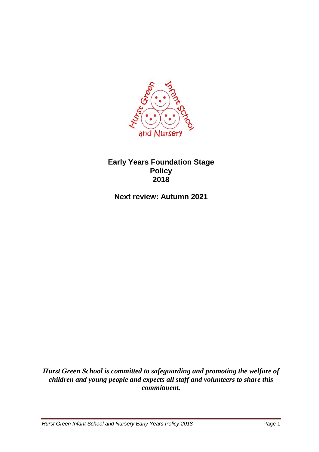

#### **Early Years Foundation Stage Policy 2018**

**Next review: Autumn 2021**

*Hurst Green School is committed to safeguarding and promoting the welfare of children and young people and expects all staff and volunteers to share this commitment.*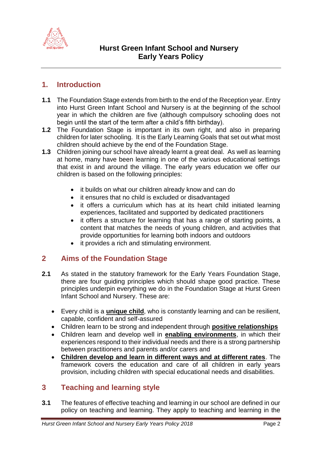

## **1. Introduction**

- **1.1** The Foundation Stage extends from birth to the end of the Reception year. Entry into Hurst Green Infant School and Nursery is at the beginning of the school year in which the children are five (although compulsory schooling does not begin until the start of the term after a child's fifth birthday).
- **1.2** The Foundation Stage is important in its own right, and also in preparing children for later schooling. It is the Early Learning Goals that set out what most children should achieve by the end of the Foundation Stage.
- **1.3** Children joining our school have already learnt a great deal. As well as learning at home, many have been learning in one of the various educational settings that exist in and around the village. The early years education we offer our children is based on the following principles:
	- it builds on what our children already know and can do
	- it ensures that no child is excluded or disadvantaged
	- it offers a curriculum which has at its heart child initiated learning experiences, facilitated and supported by dedicated practitioners
	- it offers a structure for learning that has a range of starting points, a content that matches the needs of young children, and activities that provide opportunities for learning both indoors and outdoors
	- it provides a rich and stimulating environment.

# **2 Aims of the Foundation Stage**

- **2.1** As stated in the statutory framework for the Early Years Foundation Stage, there are four guiding principles which should shape good practice. These principles underpin everything we do in the Foundation Stage at Hurst Green Infant School and Nursery. These are:
	- Every child is a **unique child**, who is constantly learning and can be resilient, capable, confident and self-assured
	- Children learn to be strong and independent through **positive relationships**
	- Children learn and develop well in **enabling environments**, in which their experiences respond to their individual needs and there is a strong partnership between practitioners and parents and/or carers and
	- **Children develop and learn in different ways and at different rates**. The framework covers the education and care of all children in early years provision, including children with special educational needs and disabilities.

# **3 Teaching and learning style**

**3.1** The features of effective teaching and learning in our school are defined in our policy on teaching and learning. They apply to teaching and learning in the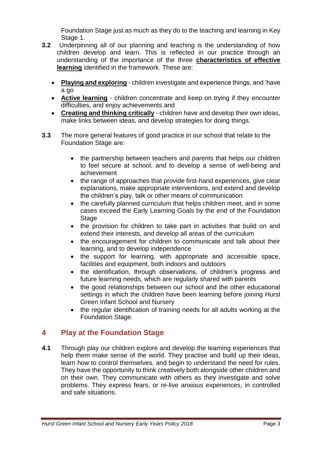Foundation Stage just as much as they do to the teaching and learning in Key Stage 1.

- **3.2** Underpinning all of our planning and teaching is the understanding of how children develop and learn. This is reflected in our practice through an understanding of the importance of the three **characteristics of effective learning** identified in the framework. These are:
	- **Playing and exploring** children investigate and experience things, and 'have a go
	- **Active learning** children concentrate and keep on trying if they encounter difficulties, and enjoy achievements and
	- **Creating and thinking critically** children have and develop their own ideas, make links between ideas, and develop strategies for doing things.
- **3.3** The more general features of good practice in our school that relate to the Foundation Stage are:
	- the partnership between teachers and parents that helps our children to feel secure at school, and to develop a sense of well-being and achievement
	- the range of approaches that provide first-hand experiences, give clear explanations, make appropriate interventions, and extend and develop the children's play, talk or other means of communication
	- the carefully planned curriculum that helps children meet, and in some cases exceed the Early Learning Goals by the end of the Foundation Stage
	- the provision for children to take part in activities that build on and extend their interests, and develop all areas of the curriculum
	- the encouragement for children to communicate and talk about their learning, and to develop independence
	- the support for learning, with appropriate and accessible space, facilities and equipment, both indoors and outdoors
	- the identification, through observations, of children's progress and future learning needs, which are regularly shared with parents
	- the good relationships between our school and the other educational settings in which the children have been learning before joining Hurst Green Infant School and Nursery
	- the regular identification of training needs for all adults working at the Foundation Stage.

# **4 Play at the Foundation Stage**

**4.1** Through play our children explore and develop the learning experiences that help them make sense of the world. They practise and build up their ideas, learn how to control themselves, and begin to understand the need for rules. They have the opportunity to think creatively both alongside other children and on their own. They communicate with others as they investigate and solve problems. They express fears, or re-live anxious experiences, in controlled and safe situations.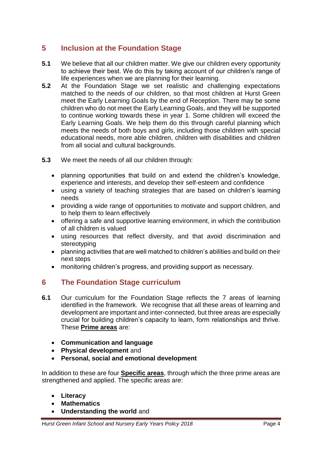# **5 Inclusion at the Foundation Stage**

- **5.1** We believe that all our children matter. We give our children every opportunity to achieve their best. We do this by taking account of our children's range of life experiences when we are planning for their learning.
- **5.2** At the Foundation Stage we set realistic and challenging expectations matched to the needs of our children, so that most children at Hurst Green meet the Early Learning Goals by the end of Reception. There may be some children who do not meet the Early Learning Goals, and they will be supported to continue working towards these in year 1. Some children will exceed the Early Learning Goals. We help them do this through careful planning which meets the needs of both boys and girls, including those children with special educational needs, more able children, children with disabilities and children from all social and cultural backgrounds.
- **5.3** We meet the needs of all our children through:
	- planning opportunities that build on and extend the children's knowledge, experience and interests, and develop their self-esteem and confidence
	- using a variety of teaching strategies that are based on children's learning needs
	- providing a wide range of opportunities to motivate and support children, and to help them to learn effectively
	- offering a safe and supportive learning environment, in which the contribution of all children is valued
	- using resources that reflect diversity, and that avoid discrimination and stereotyping
	- planning activities that are well matched to children's abilities and build on their next steps
	- monitoring children's progress, and providing support as necessary.

## **6 The Foundation Stage curriculum**

- **6.1** Our curriculum for the Foundation Stage reflects the 7 areas of learning identified in the framework. We recognise that all these areas of learning and development are important and inter-connected, but three areas are especially crucial for building children's capacity to learn, form relationships and thrive. These **Prime areas** are:
	- **Communication and language**
	- **Physical development** and
	- **Personal, social and emotional development**

In addition to these are four **Specific areas**, through which the three prime areas are strengthened and applied. The specific areas are:

- **Literacy**
- **Mathematics**
- **Understanding the world** and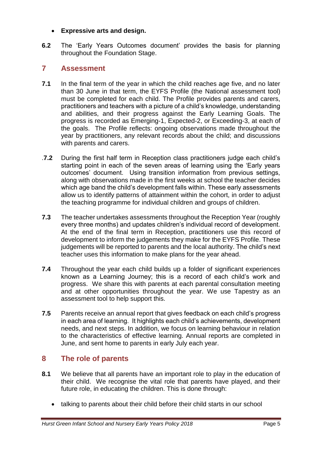#### **Expressive arts and design.**

**6.2** The 'Early Years Outcomes document' provides the basis for planning throughout the Foundation Stage.

#### **7 Assessment**

- **7.1** In the final term of the year in which the child reaches age five, and no later than 30 June in that term, the EYFS Profile (the National assessment tool) must be completed for each child. The Profile provides parents and carers, practitioners and teachers with a picture of a child's knowledge, understanding and abilities, and their progress against the Early Learning Goals. The progress is recorded as Emerging-1, Expected-2, or Exceeding-3, at each of the goals. The Profile reflects: ongoing observations made throughout the year by practitioners, any relevant records about the child; and discussions with parents and carers.
- .**7.2** During the first half term in Reception class practitioners judge each child's starting point in each of the seven areas of learning using the 'Early years outcomes' document. Using transition information from previous settings, along with observations made in the first weeks at school the teacher decides which age band the child's development falls within. These early assessments allow us to identify patterns of attainment within the cohort, in order to adjust the teaching programme for individual children and groups of children.
- **7.3** The teacher undertakes assessments throughout the Reception Year (roughly every three months) and updates children's individual record of development. At the end of the final term in Reception, practitioners use this record of development to inform the judgements they make for the EYFS Profile. These judgements will be reported to parents and the local authority. The child's next teacher uses this information to make plans for the year ahead.
- **7.4** Throughout the year each child builds up a folder of significant experiences known as a Learning Journey; this is a record of each child's work and progress. We share this with parents at each parental consultation meeting and at other opportunities throughout the year. We use Tapestry as an assessment tool to help support this.
- **7.5** Parents receive an annual report that gives feedback on each child's progress in each area of learning. It highlights each child's achievements, development needs, and next steps. In addition, we focus on learning behaviour in relation to the characteristics of effective learning. Annual reports are completed in June, and sent home to parents in early July each year.

## **8 The role of parents**

- **8.1** We believe that all parents have an important role to play in the education of their child. We recognise the vital role that parents have played, and their future role, in educating the children. This is done through:
	- talking to parents about their child before their child starts in our school